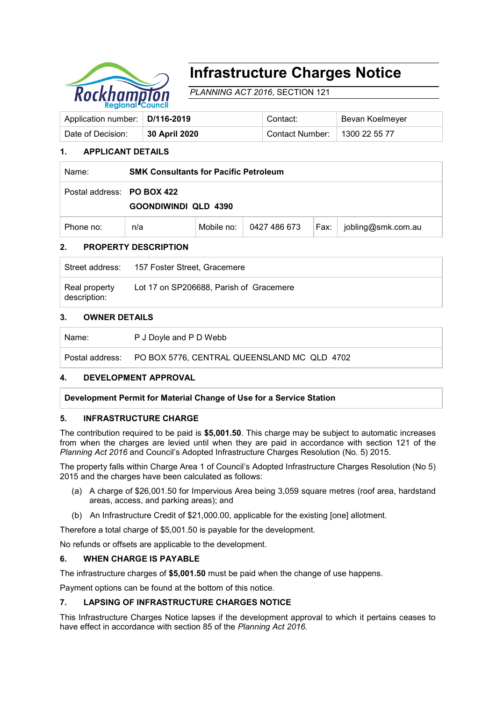

# **Infrastructure Charges Notice**

*PLANNING ACT 2016*, SECTION 121

| Application number: D/116-2019 |               | Contact:               | Bevan Koelmeyer     |  |
|--------------------------------|---------------|------------------------|---------------------|--|
| Date of Decision:              | 30 April 2020 | <b>Contact Number:</b> | $\pm$ 1300 22 55 77 |  |

# **1. APPLICANT DETAILS**

| Name:                      | <b>SMK Consultants for Pacific Petroleum</b> |            |              |      |                    |
|----------------------------|----------------------------------------------|------------|--------------|------|--------------------|
| Postal address: PO BOX 422 | GOONDIWINDI QLD 4390                         |            |              |      |                    |
| Phone no:                  | n/a                                          | Mobile no: | 0427 486 673 | Fax: | jobling@smk.com.au |

## **2. PROPERTY DESCRIPTION**

|                               | Street address: 157 Foster Street, Gracemere |
|-------------------------------|----------------------------------------------|
| Real property<br>description: | Lot 17 on SP206688, Parish of Gracemere      |

#### **3. OWNER DETAILS**

| Name: | P J Doyle and P D Webb                                      |
|-------|-------------------------------------------------------------|
|       | Postal address: PO BOX 5776, CENTRAL QUEENSLAND MC QLD 4702 |

#### **4. DEVELOPMENT APPROVAL**

**Development Permit for Material Change of Use for a Service Station**

#### **5. INFRASTRUCTURE CHARGE**

The contribution required to be paid is **\$5,001.50**. This charge may be subject to automatic increases from when the charges are levied until when they are paid in accordance with section 121 of the *Planning Act 2016* and Council's Adopted Infrastructure Charges Resolution (No. 5) 2015.

The property falls within Charge Area 1 of Council's Adopted Infrastructure Charges Resolution (No 5) 2015 and the charges have been calculated as follows:

- (a) A charge of \$26,001.50 for Impervious Area being 3,059 square metres (roof area, hardstand areas, access, and parking areas); and
- (b) An Infrastructure Credit of \$21,000.00, applicable for the existing [one] allotment.

Therefore a total charge of \$5,001.50 is payable for the development.

No refunds or offsets are applicable to the development.

#### **6. WHEN CHARGE IS PAYABLE**

The infrastructure charges of **\$5,001.50** must be paid when the change of use happens.

Payment options can be found at the bottom of this notice.

### **7. LAPSING OF INFRASTRUCTURE CHARGES NOTICE**

This Infrastructure Charges Notice lapses if the development approval to which it pertains ceases to have effect in accordance with section 85 of the *Planning Act 2016.*